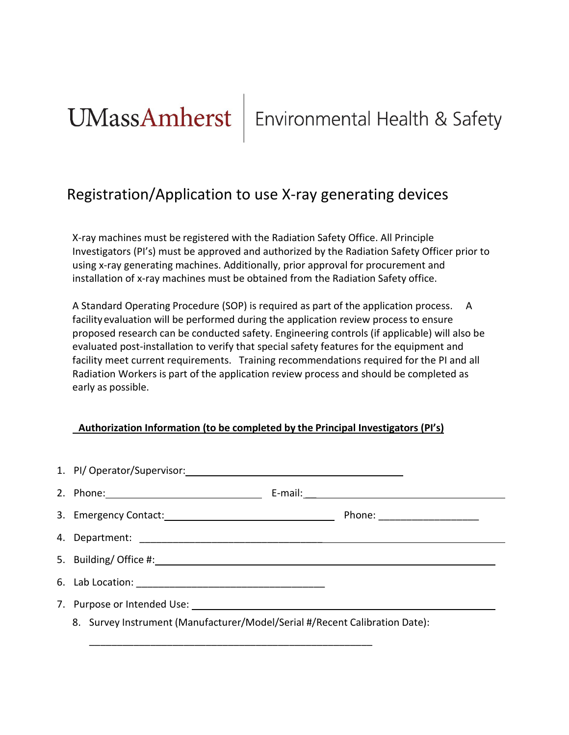# Registration/Application to use X-ray generating devices

X-ray machines must be registered with the Radiation Safety Office. All Principle Investigators (PI's) must be approved and authorized by the Radiation Safety Officer prior to using x-ray generating machines. Additionally, prior approval for procurement and installation of x-ray machines must be obtained from the Radiation Safety office.

A Standard Operating Procedure (SOP) is required as part of the application process. A facility evaluation will be performed during the application review process to ensure proposed research can be conducted safety. Engineering controls (if applicable) will also be evaluated post-installation to verify that special safety features for the equipment and facility meet current requirements. Training recommendations required for the PI and all Radiation Workers is part of the application review process and should be completed as early as possible.

# **Authorization Information (to be completed by the Principal Investigators (PI's)**

| 1. PI/ Operator/Supervisor: 1. 2008 0.000 0.000 0.000 0.000 0.000 0.000 0.000 0.000 0.000 0.000 0.000 0.000 0.000 0.000 0.000 0.000 0.000 0.000 0.000 0.000 0.000 0.000 0.000 0.000 0.000 0.000 0.000 0.000 0.000 0.000 0.000 |  |
|-------------------------------------------------------------------------------------------------------------------------------------------------------------------------------------------------------------------------------|--|
| 2. Phone: 2010 120 2010 120 2010 120 2010 120 2010 120 2010 120 2010 120 2010 120 2010 120 2010 120 2010 120 20                                                                                                               |  |
|                                                                                                                                                                                                                               |  |
|                                                                                                                                                                                                                               |  |
|                                                                                                                                                                                                                               |  |
|                                                                                                                                                                                                                               |  |
|                                                                                                                                                                                                                               |  |
| 8. Survey Instrument (Manufacturer/Model/Serial #/Recent Calibration Date):                                                                                                                                                   |  |

\_\_\_\_\_\_\_\_\_\_\_\_\_\_\_\_\_\_\_\_\_\_\_\_\_\_\_\_\_\_\_\_\_\_\_\_\_\_\_\_\_\_\_\_\_\_\_\_\_\_\_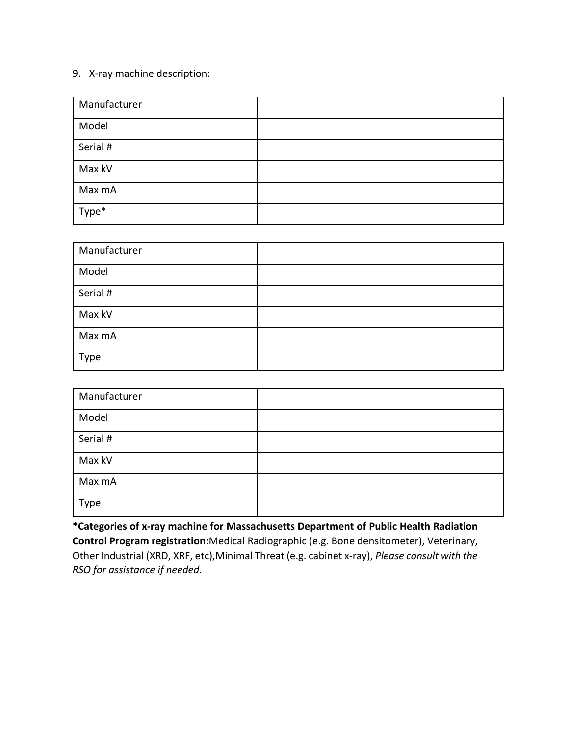# 9. X-ray machine description:

| Manufacturer |  |
|--------------|--|
| Model        |  |
| Serial #     |  |
| Max kV       |  |
| Max mA       |  |
| Type*        |  |

| Manufacturer |  |
|--------------|--|
| Model        |  |
| Serial #     |  |
| Max kV       |  |
| Max mA       |  |
| Type         |  |

| Manufacturer |  |
|--------------|--|
| Model        |  |
| Serial #     |  |
| Max kV       |  |
| Max mA       |  |
| Type         |  |

**\*Categories of x-ray machine for Massachusetts Department of Public Health Radiation Control Program registration:**Medical Radiographic (e.g. Bone densitometer), Veterinary, Other Industrial (XRD, XRF, etc),Minimal Threat (e.g. cabinet x-ray), *Please consult with the RSO for assistance if needed.*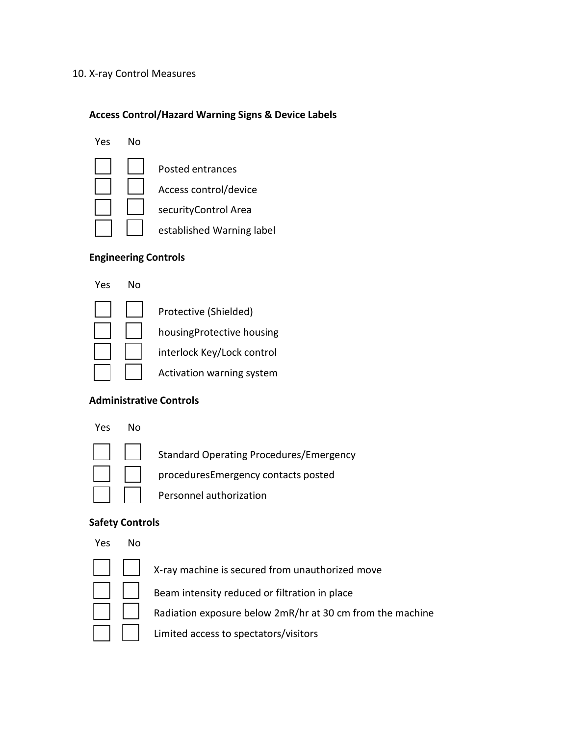#### 10. X-ray Control Measures

## **Access Control/Hazard Warning Signs & Device Labels**



### **Engineering Controls**

Yes No



Protective (Shielded)

housingProtective housing

interlock Key/Lock control

Activation warning system

# **Administrative Controls**

#### Yes No



Standard Operating Procedures/Emergency

proceduresEmergency contacts posted

Personnel authorization

# **Safety Controls**

#### Yes No



X-ray machine is secured from unauthorized move

Beam intensity reduced or filtration in place

Radiation exposure below 2mR/hr at 30 cm from the machine

Limited access to spectators/visitors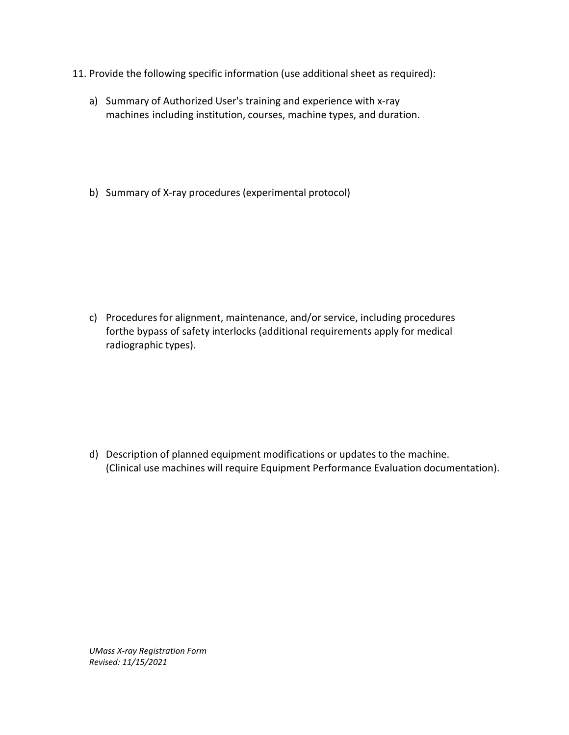- 11. Provide the following specific information (use additional sheet as required):
	- a) Summary of Authorized User's training and experience with x-ray machines including institution, courses, machine types, and duration.
	- b) Summary of X-ray procedures (experimental protocol)

c) Procedures for alignment, maintenance, and/or service, including procedures forthe bypass of safety interlocks (additional requirements apply for medical radiographic types).

d) Description of planned equipment modifications or updates to the machine. (Clinical use machines will require Equipment Performance Evaluation documentation).

*UMass X-ray Registration Form Revised: 11/15/2021*